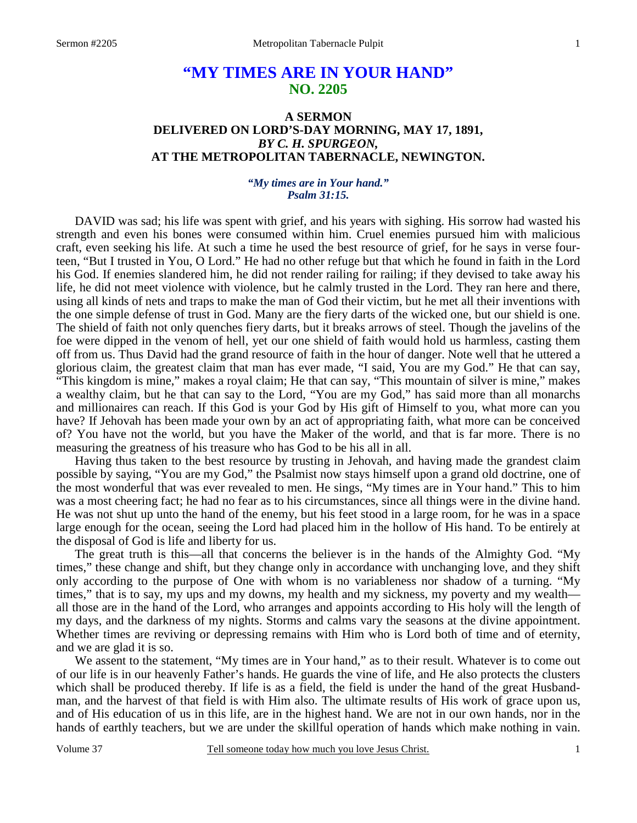# **"MY TIMES ARE IN YOUR HAND" NO. 2205**

### **A SERMON DELIVERED ON LORD'S-DAY MORNING, MAY 17, 1891,**  *BY C. H. SPURGEON,*  **AT THE METROPOLITAN TABERNACLE, NEWINGTON.**

#### *"My times are in Your hand." Psalm 31:15.*

DAVID was sad; his life was spent with grief, and his years with sighing. His sorrow had wasted his strength and even his bones were consumed within him. Cruel enemies pursued him with malicious craft, even seeking his life. At such a time he used the best resource of grief, for he says in verse fourteen, "But I trusted in You, O Lord." He had no other refuge but that which he found in faith in the Lord his God. If enemies slandered him, he did not render railing for railing; if they devised to take away his life, he did not meet violence with violence, but he calmly trusted in the Lord. They ran here and there, using all kinds of nets and traps to make the man of God their victim, but he met all their inventions with the one simple defense of trust in God. Many are the fiery darts of the wicked one, but our shield is one. The shield of faith not only quenches fiery darts, but it breaks arrows of steel. Though the javelins of the foe were dipped in the venom of hell, yet our one shield of faith would hold us harmless, casting them off from us. Thus David had the grand resource of faith in the hour of danger. Note well that he uttered a glorious claim, the greatest claim that man has ever made, "I said, You are my God." He that can say, "This kingdom is mine," makes a royal claim; He that can say, "This mountain of silver is mine," makes a wealthy claim, but he that can say to the Lord, "You are my God," has said more than all monarchs and millionaires can reach. If this God is your God by His gift of Himself to you, what more can you have? If Jehovah has been made your own by an act of appropriating faith, what more can be conceived of? You have not the world, but you have the Maker of the world, and that is far more. There is no measuring the greatness of his treasure who has God to be his all in all.

 Having thus taken to the best resource by trusting in Jehovah, and having made the grandest claim possible by saying, "You are my God," the Psalmist now stays himself upon a grand old doctrine, one of the most wonderful that was ever revealed to men. He sings, "My times are in Your hand." This to him was a most cheering fact; he had no fear as to his circumstances, since all things were in the divine hand. He was not shut up unto the hand of the enemy, but his feet stood in a large room, for he was in a space large enough for the ocean, seeing the Lord had placed him in the hollow of His hand. To be entirely at the disposal of God is life and liberty for us.

 The great truth is this—all that concerns the believer is in the hands of the Almighty God. "My times," these change and shift, but they change only in accordance with unchanging love, and they shift only according to the purpose of One with whom is no variableness nor shadow of a turning. "My times," that is to say, my ups and my downs, my health and my sickness, my poverty and my wealth all those are in the hand of the Lord, who arranges and appoints according to His holy will the length of my days, and the darkness of my nights. Storms and calms vary the seasons at the divine appointment. Whether times are reviving or depressing remains with Him who is Lord both of time and of eternity, and we are glad it is so.

We assent to the statement, "My times are in Your hand," as to their result. Whatever is to come out of our life is in our heavenly Father's hands. He guards the vine of life, and He also protects the clusters which shall be produced thereby. If life is as a field, the field is under the hand of the great Husbandman, and the harvest of that field is with Him also. The ultimate results of His work of grace upon us, and of His education of us in this life, are in the highest hand. We are not in our own hands, nor in the hands of earthly teachers, but we are under the skillful operation of hands which make nothing in vain.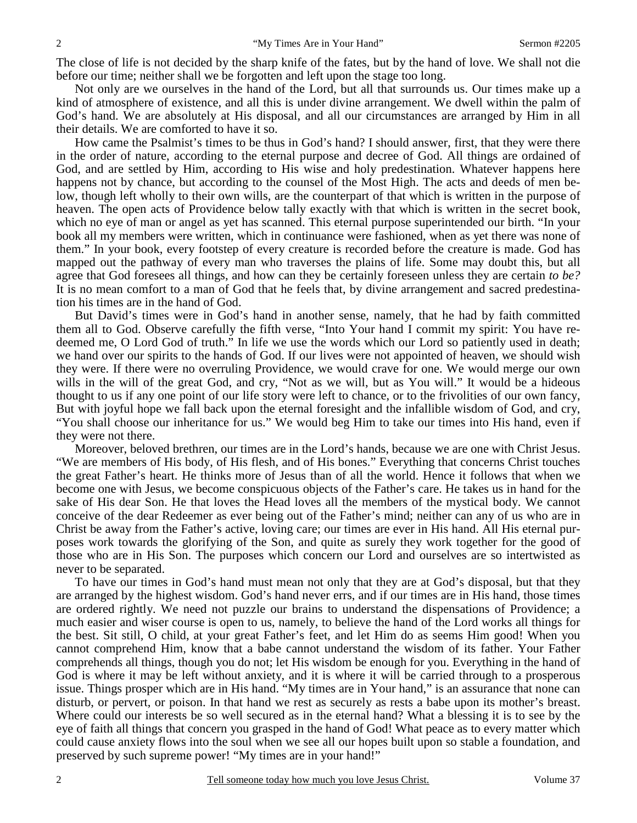The close of life is not decided by the sharp knife of the fates, but by the hand of love. We shall not die before our time; neither shall we be forgotten and left upon the stage too long.

 Not only are we ourselves in the hand of the Lord, but all that surrounds us. Our times make up a kind of atmosphere of existence, and all this is under divine arrangement. We dwell within the palm of God's hand. We are absolutely at His disposal, and all our circumstances are arranged by Him in all their details. We are comforted to have it so.

 How came the Psalmist's times to be thus in God's hand? I should answer, first, that they were there in the order of nature, according to the eternal purpose and decree of God. All things are ordained of God, and are settled by Him, according to His wise and holy predestination. Whatever happens here happens not by chance, but according to the counsel of the Most High. The acts and deeds of men below, though left wholly to their own wills, are the counterpart of that which is written in the purpose of heaven. The open acts of Providence below tally exactly with that which is written in the secret book, which no eye of man or angel as yet has scanned. This eternal purpose superintended our birth. "In your book all my members were written, which in continuance were fashioned, when as yet there was none of them." In your book, every footstep of every creature is recorded before the creature is made. God has mapped out the pathway of every man who traverses the plains of life. Some may doubt this, but all agree that God foresees all things, and how can they be certainly foreseen unless they are certain *to be?* It is no mean comfort to a man of God that he feels that, by divine arrangement and sacred predestination his times are in the hand of God.

 But David's times were in God's hand in another sense, namely, that he had by faith committed them all to God. Observe carefully the fifth verse, "Into Your hand I commit my spirit: You have redeemed me, O Lord God of truth." In life we use the words which our Lord so patiently used in death; we hand over our spirits to the hands of God. If our lives were not appointed of heaven, we should wish they were. If there were no overruling Providence, we would crave for one. We would merge our own wills in the will of the great God, and cry, "Not as we will, but as You will." It would be a hideous thought to us if any one point of our life story were left to chance, or to the frivolities of our own fancy, But with joyful hope we fall back upon the eternal foresight and the infallible wisdom of God, and cry, "You shall choose our inheritance for us." We would beg Him to take our times into His hand, even if they were not there.

 Moreover, beloved brethren, our times are in the Lord's hands, because we are one with Christ Jesus. "We are members of His body, of His flesh, and of His bones." Everything that concerns Christ touches the great Father's heart. He thinks more of Jesus than of all the world. Hence it follows that when we become one with Jesus, we become conspicuous objects of the Father's care. He takes us in hand for the sake of His dear Son. He that loves the Head loves all the members of the mystical body. We cannot conceive of the dear Redeemer as ever being out of the Father's mind; neither can any of us who are in Christ be away from the Father's active, loving care; our times are ever in His hand. All His eternal purposes work towards the glorifying of the Son, and quite as surely they work together for the good of those who are in His Son. The purposes which concern our Lord and ourselves are so intertwisted as never to be separated.

 To have our times in God's hand must mean not only that they are at God's disposal, but that they are arranged by the highest wisdom. God's hand never errs, and if our times are in His hand, those times are ordered rightly. We need not puzzle our brains to understand the dispensations of Providence; a much easier and wiser course is open to us, namely, to believe the hand of the Lord works all things for the best. Sit still, O child, at your great Father's feet, and let Him do as seems Him good! When you cannot comprehend Him, know that a babe cannot understand the wisdom of its father. Your Father comprehends all things, though you do not; let His wisdom be enough for you. Everything in the hand of God is where it may be left without anxiety, and it is where it will be carried through to a prosperous issue. Things prosper which are in His hand. "My times are in Your hand," is an assurance that none can disturb, or pervert, or poison. In that hand we rest as securely as rests a babe upon its mother's breast. Where could our interests be so well secured as in the eternal hand? What a blessing it is to see by the eye of faith all things that concern you grasped in the hand of God! What peace as to every matter which could cause anxiety flows into the soul when we see all our hopes built upon so stable a foundation, and preserved by such supreme power! "My times are in your hand!"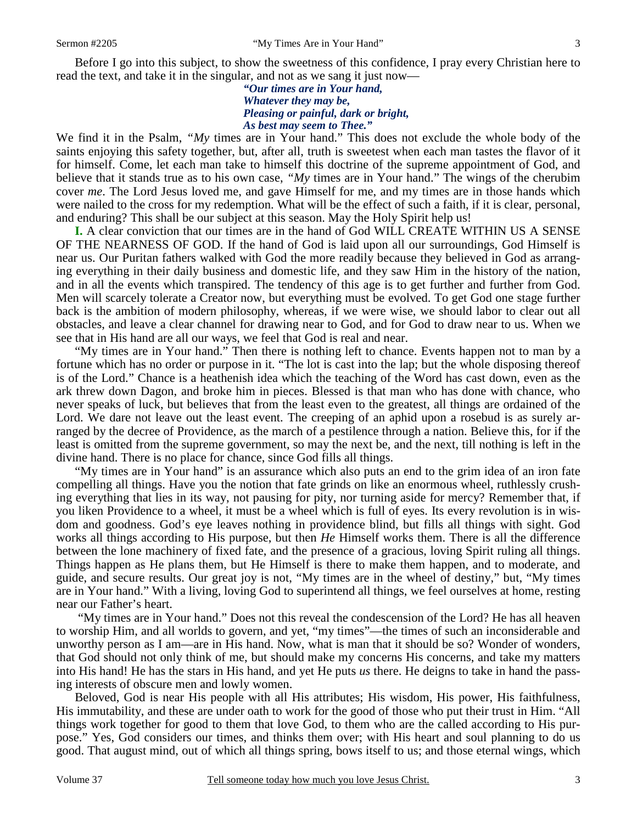Before I go into this subject, to show the sweetness of this confidence, I pray every Christian here to read the text, and take it in the singular, and not as we sang it just now—

> *"Our times are in Your hand, Whatever they may be, Pleasing or painful, dark or bright, As best may seem to Thee."*

We find it in the Psalm, "My times are in Your hand." This does not exclude the whole body of the saints enjoying this safety together, but, after all, truth is sweetest when each man tastes the flavor of it for himself. Come, let each man take to himself this doctrine of the supreme appointment of God, and believe that it stands true as to his own case, *"My* times are in Your hand." The wings of the cherubim cover *me*. The Lord Jesus loved me, and gave Himself for me, and my times are in those hands which were nailed to the cross for my redemption. What will be the effect of such a faith, if it is clear, personal, and enduring? This shall be our subject at this season. May the Holy Spirit help us!

**I.** A clear conviction that our times are in the hand of God WILL CREATE WITHIN US A SENSE OF THE NEARNESS OF GOD. If the hand of God is laid upon all our surroundings, God Himself is near us. Our Puritan fathers walked with God the more readily because they believed in God as arranging everything in their daily business and domestic life, and they saw Him in the history of the nation, and in all the events which transpired. The tendency of this age is to get further and further from God. Men will scarcely tolerate a Creator now, but everything must be evolved. To get God one stage further back is the ambition of modern philosophy, whereas, if we were wise, we should labor to clear out all obstacles, and leave a clear channel for drawing near to God, and for God to draw near to us. When we see that in His hand are all our ways, we feel that God is real and near.

 "My times are in Your hand." Then there is nothing left to chance. Events happen not to man by a fortune which has no order or purpose in it. "The lot is cast into the lap; but the whole disposing thereof is of the Lord." Chance is a heathenish idea which the teaching of the Word has cast down, even as the ark threw down Dagon, and broke him in pieces. Blessed is that man who has done with chance, who never speaks of luck, but believes that from the least even to the greatest, all things are ordained of the Lord. We dare not leave out the least event. The creeping of an aphid upon a rosebud is as surely arranged by the decree of Providence, as the march of a pestilence through a nation. Believe this, for if the least is omitted from the supreme government, so may the next be, and the next, till nothing is left in the divine hand. There is no place for chance, since God fills all things.

 "My times are in Your hand" is an assurance which also puts an end to the grim idea of an iron fate compelling all things. Have you the notion that fate grinds on like an enormous wheel, ruthlessly crushing everything that lies in its way, not pausing for pity, nor turning aside for mercy? Remember that, if you liken Providence to a wheel, it must be a wheel which is full of eyes. Its every revolution is in wisdom and goodness. God's eye leaves nothing in providence blind, but fills all things with sight. God works all things according to His purpose, but then *He* Himself works them. There is all the difference between the lone machinery of fixed fate, and the presence of a gracious, loving Spirit ruling all things. Things happen as He plans them, but He Himself is there to make them happen, and to moderate, and guide, and secure results. Our great joy is not, "My times are in the wheel of destiny," but, "My times are in Your hand." With a living, loving God to superintend all things, we feel ourselves at home, resting near our Father's heart.

 "My times are in Your hand." Does not this reveal the condescension of the Lord? He has all heaven to worship Him, and all worlds to govern, and yet, "my times"—the times of such an inconsiderable and unworthy person as I am—are in His hand. Now, what is man that it should be so? Wonder of wonders, that God should not only think of me, but should make my concerns His concerns, and take my matters into His hand! He has the stars in His hand, and yet He puts *us* there. He deigns to take in hand the passing interests of obscure men and lowly women.

 Beloved, God is near His people with all His attributes; His wisdom, His power, His faithfulness, His immutability, and these are under oath to work for the good of those who put their trust in Him. "All things work together for good to them that love God, to them who are the called according to His purpose." Yes, God considers our times, and thinks them over; with His heart and soul planning to do us good. That august mind, out of which all things spring, bows itself to us; and those eternal wings, which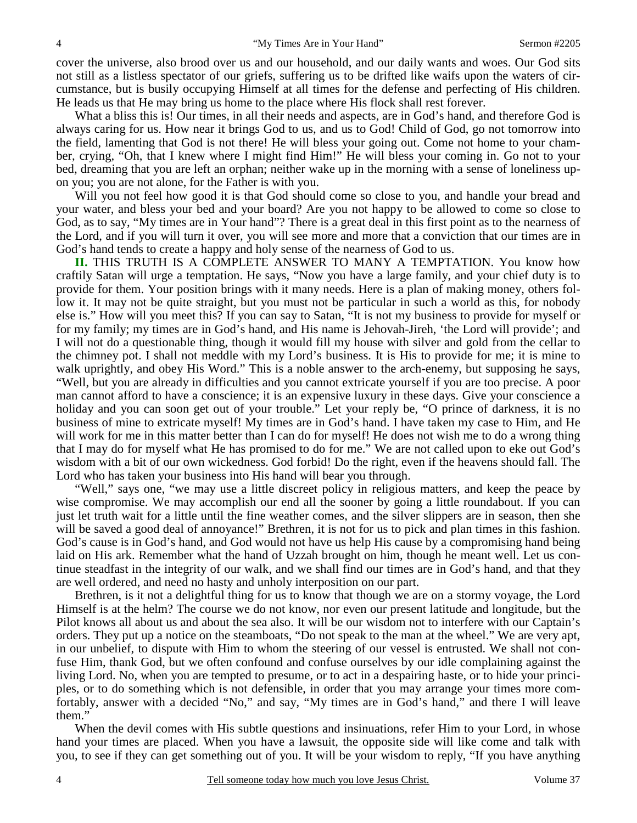cover the universe, also brood over us and our household, and our daily wants and woes. Our God sits not still as a listless spectator of our griefs, suffering us to be drifted like waifs upon the waters of circumstance, but is busily occupying Himself at all times for the defense and perfecting of His children. He leads us that He may bring us home to the place where His flock shall rest forever.

 What a bliss this is! Our times, in all their needs and aspects, are in God's hand, and therefore God is always caring for us. How near it brings God to us, and us to God! Child of God, go not tomorrow into the field, lamenting that God is not there! He will bless your going out. Come not home to your chamber, crying, "Oh, that I knew where I might find Him!" He will bless your coming in. Go not to your bed, dreaming that you are left an orphan; neither wake up in the morning with a sense of loneliness upon you; you are not alone, for the Father is with you.

Will you not feel how good it is that God should come so close to you, and handle your bread and your water, and bless your bed and your board? Are you not happy to be allowed to come so close to God, as to say, "My times are in Your hand"? There is a great deal in this first point as to the nearness of the Lord, and if you will turn it over, you will see more and more that a conviction that our times are in God's hand tends to create a happy and holy sense of the nearness of God to us.

**II.** THIS TRUTH IS A COMPLETE ANSWER TO MANY A TEMPTATION. You know how craftily Satan will urge a temptation. He says, "Now you have a large family, and your chief duty is to provide for them. Your position brings with it many needs. Here is a plan of making money, others follow it. It may not be quite straight, but you must not be particular in such a world as this, for nobody else is." How will you meet this? If you can say to Satan, "It is not my business to provide for myself or for my family; my times are in God's hand, and His name is Jehovah-Jireh, 'the Lord will provide'; and I will not do a questionable thing, though it would fill my house with silver and gold from the cellar to the chimney pot. I shall not meddle with my Lord's business. It is His to provide for me; it is mine to walk uprightly, and obey His Word." This is a noble answer to the arch-enemy, but supposing he says, "Well, but you are already in difficulties and you cannot extricate yourself if you are too precise. A poor man cannot afford to have a conscience; it is an expensive luxury in these days. Give your conscience a holiday and you can soon get out of your trouble." Let your reply be, "O prince of darkness, it is no business of mine to extricate myself! My times are in God's hand. I have taken my case to Him, and He will work for me in this matter better than I can do for myself! He does not wish me to do a wrong thing that I may do for myself what He has promised to do for me." We are not called upon to eke out God's wisdom with a bit of our own wickedness. God forbid! Do the right, even if the heavens should fall. The Lord who has taken your business into His hand will bear you through.

 "Well," says one, "we may use a little discreet policy in religious matters, and keep the peace by wise compromise. We may accomplish our end all the sooner by going a little roundabout. If you can just let truth wait for a little until the fine weather comes, and the silver slippers are in season, then she will be saved a good deal of annoyance!" Brethren, it is not for us to pick and plan times in this fashion. God's cause is in God's hand, and God would not have us help His cause by a compromising hand being laid on His ark. Remember what the hand of Uzzah brought on him, though he meant well. Let us continue steadfast in the integrity of our walk, and we shall find our times are in God's hand, and that they are well ordered, and need no hasty and unholy interposition on our part.

 Brethren, is it not a delightful thing for us to know that though we are on a stormy voyage, the Lord Himself is at the helm? The course we do not know, nor even our present latitude and longitude, but the Pilot knows all about us and about the sea also. It will be our wisdom not to interfere with our Captain's orders. They put up a notice on the steamboats, "Do not speak to the man at the wheel." We are very apt, in our unbelief, to dispute with Him to whom the steering of our vessel is entrusted. We shall not confuse Him, thank God, but we often confound and confuse ourselves by our idle complaining against the living Lord. No, when you are tempted to presume, or to act in a despairing haste, or to hide your principles, or to do something which is not defensible, in order that you may arrange your times more comfortably, answer with a decided "No," and say, "My times are in God's hand," and there I will leave them."

When the devil comes with His subtle questions and insinuations, refer Him to your Lord, in whose hand your times are placed. When you have a lawsuit, the opposite side will like come and talk with you, to see if they can get something out of you. It will be your wisdom to reply, "If you have anything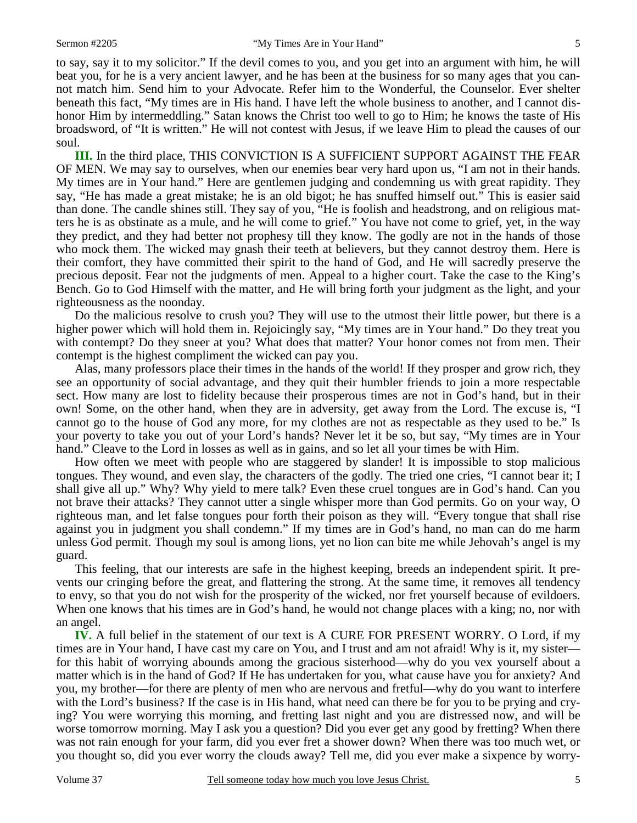to say, say it to my solicitor." If the devil comes to you, and you get into an argument with him, he will beat you, for he is a very ancient lawyer, and he has been at the business for so many ages that you cannot match him. Send him to your Advocate. Refer him to the Wonderful, the Counselor. Ever shelter beneath this fact, "My times are in His hand. I have left the whole business to another, and I cannot dishonor Him by intermeddling." Satan knows the Christ too well to go to Him; he knows the taste of His broadsword, of "It is written." He will not contest with Jesus, if we leave Him to plead the causes of our soul.

**III.** In the third place, THIS CONVICTION IS A SUFFICIENT SUPPORT AGAINST THE FEAR OF MEN. We may say to ourselves, when our enemies bear very hard upon us, "I am not in their hands. My times are in Your hand." Here are gentlemen judging and condemning us with great rapidity. They say, "He has made a great mistake; he is an old bigot; he has snuffed himself out." This is easier said than done. The candle shines still. They say of you, "He is foolish and headstrong, and on religious matters he is as obstinate as a mule, and he will come to grief." You have not come to grief, yet, in the way they predict, and they had better not prophesy till they know. The godly are not in the hands of those who mock them. The wicked may gnash their teeth at believers, but they cannot destroy them. Here is their comfort, they have committed their spirit to the hand of God, and He will sacredly preserve the precious deposit. Fear not the judgments of men. Appeal to a higher court. Take the case to the King's Bench. Go to God Himself with the matter, and He will bring forth your judgment as the light, and your righteousness as the noonday.

 Do the malicious resolve to crush you? They will use to the utmost their little power, but there is a higher power which will hold them in. Rejoicingly say, "My times are in Your hand." Do they treat you with contempt? Do they sneer at you? What does that matter? Your honor comes not from men. Their contempt is the highest compliment the wicked can pay you.

 Alas, many professors place their times in the hands of the world! If they prosper and grow rich, they see an opportunity of social advantage, and they quit their humbler friends to join a more respectable sect. How many are lost to fidelity because their prosperous times are not in God's hand, but in their own! Some, on the other hand, when they are in adversity, get away from the Lord. The excuse is, "I cannot go to the house of God any more, for my clothes are not as respectable as they used to be." Is your poverty to take you out of your Lord's hands? Never let it be so, but say, "My times are in Your hand." Cleave to the Lord in losses as well as in gains, and so let all your times be with Him.

 How often we meet with people who are staggered by slander! It is impossible to stop malicious tongues. They wound, and even slay, the characters of the godly. The tried one cries, "I cannot bear it; I shall give all up." Why? Why yield to mere talk? Even these cruel tongues are in God's hand. Can you not brave their attacks? They cannot utter a single whisper more than God permits. Go on your way, O righteous man, and let false tongues pour forth their poison as they will. "Every tongue that shall rise against you in judgment you shall condemn." If my times are in God's hand, no man can do me harm unless God permit. Though my soul is among lions, yet no lion can bite me while Jehovah's angel is my guard.

 This feeling, that our interests are safe in the highest keeping, breeds an independent spirit. It prevents our cringing before the great, and flattering the strong. At the same time, it removes all tendency to envy, so that you do not wish for the prosperity of the wicked, nor fret yourself because of evildoers. When one knows that his times are in God's hand, he would not change places with a king; no, nor with an angel.

**IV.** A full belief in the statement of our text is A CURE FOR PRESENT WORRY. O Lord, if my times are in Your hand, I have cast my care on You, and I trust and am not afraid! Why is it, my sister for this habit of worrying abounds among the gracious sisterhood—why do you vex yourself about a matter which is in the hand of God? If He has undertaken for you, what cause have you for anxiety? And you, my brother—for there are plenty of men who are nervous and fretful—why do you want to interfere with the Lord's business? If the case is in His hand, what need can there be for you to be prying and crying? You were worrying this morning, and fretting last night and you are distressed now, and will be worse tomorrow morning. May I ask you a question? Did you ever get any good by fretting? When there was not rain enough for your farm, did you ever fret a shower down? When there was too much wet, or you thought so, did you ever worry the clouds away? Tell me, did you ever make a sixpence by worry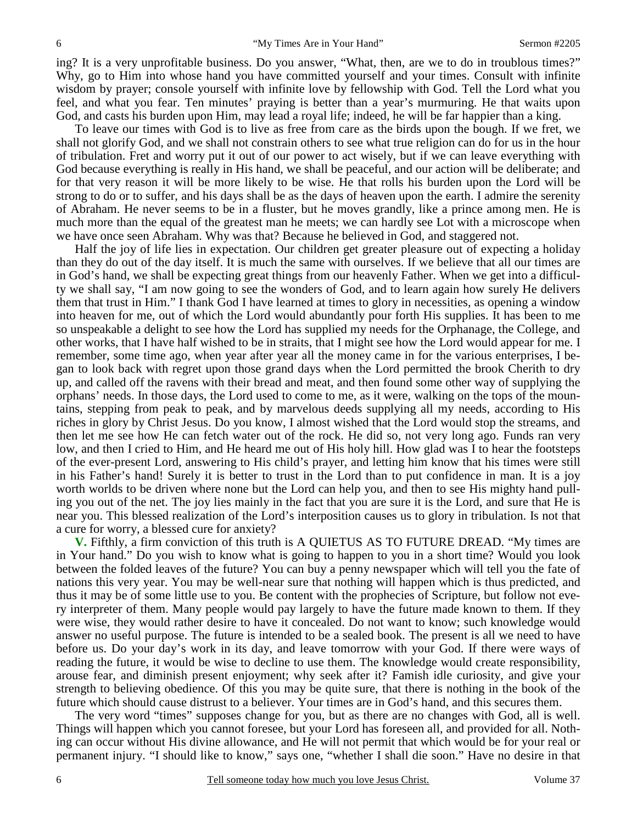ing? It is a very unprofitable business. Do you answer, "What, then, are we to do in troublous times?" Why, go to Him into whose hand you have committed yourself and your times. Consult with infinite wisdom by prayer; console yourself with infinite love by fellowship with God. Tell the Lord what you feel, and what you fear. Ten minutes' praying is better than a year's murmuring. He that waits upon God, and casts his burden upon Him, may lead a royal life; indeed, he will be far happier than a king.

 To leave our times with God is to live as free from care as the birds upon the bough. If we fret, we shall not glorify God, and we shall not constrain others to see what true religion can do for us in the hour of tribulation. Fret and worry put it out of our power to act wisely, but if we can leave everything with God because everything is really in His hand, we shall be peaceful, and our action will be deliberate; and for that very reason it will be more likely to be wise. He that rolls his burden upon the Lord will be strong to do or to suffer, and his days shall be as the days of heaven upon the earth. I admire the serenity of Abraham. He never seems to be in a fluster, but he moves grandly, like a prince among men. He is much more than the equal of the greatest man he meets; we can hardly see Lot with a microscope when we have once seen Abraham. Why was that? Because he believed in God, and staggered not.

 Half the joy of life lies in expectation. Our children get greater pleasure out of expecting a holiday than they do out of the day itself. It is much the same with ourselves. If we believe that all our times are in God's hand, we shall be expecting great things from our heavenly Father. When we get into a difficulty we shall say, "I am now going to see the wonders of God, and to learn again how surely He delivers them that trust in Him." I thank God I have learned at times to glory in necessities, as opening a window into heaven for me, out of which the Lord would abundantly pour forth His supplies. It has been to me so unspeakable a delight to see how the Lord has supplied my needs for the Orphanage, the College, and other works, that I have half wished to be in straits, that I might see how the Lord would appear for me. I remember, some time ago, when year after year all the money came in for the various enterprises, I began to look back with regret upon those grand days when the Lord permitted the brook Cherith to dry up, and called off the ravens with their bread and meat, and then found some other way of supplying the orphans' needs. In those days, the Lord used to come to me, as it were, walking on the tops of the mountains, stepping from peak to peak, and by marvelous deeds supplying all my needs, according to His riches in glory by Christ Jesus. Do you know, I almost wished that the Lord would stop the streams, and then let me see how He can fetch water out of the rock. He did so, not very long ago. Funds ran very low, and then I cried to Him, and He heard me out of His holy hill. How glad was I to hear the footsteps of the ever-present Lord, answering to His child's prayer, and letting him know that his times were still in his Father's hand! Surely it is better to trust in the Lord than to put confidence in man. It is a joy worth worlds to be driven where none but the Lord can help you, and then to see His mighty hand pulling you out of the net. The joy lies mainly in the fact that you are sure it is the Lord, and sure that He is near you. This blessed realization of the Lord's interposition causes us to glory in tribulation. Is not that a cure for worry, a blessed cure for anxiety?

**V.** Fifthly, a firm conviction of this truth is A QUIETUS AS TO FUTURE DREAD. "My times are in Your hand." Do you wish to know what is going to happen to you in a short time? Would you look between the folded leaves of the future? You can buy a penny newspaper which will tell you the fate of nations this very year. You may be well-near sure that nothing will happen which is thus predicted, and thus it may be of some little use to you. Be content with the prophecies of Scripture, but follow not every interpreter of them. Many people would pay largely to have the future made known to them. If they were wise, they would rather desire to have it concealed. Do not want to know; such knowledge would answer no useful purpose. The future is intended to be a sealed book. The present is all we need to have before us. Do your day's work in its day, and leave tomorrow with your God. If there were ways of reading the future, it would be wise to decline to use them. The knowledge would create responsibility, arouse fear, and diminish present enjoyment; why seek after it? Famish idle curiosity, and give your strength to believing obedience. Of this you may be quite sure, that there is nothing in the book of the future which should cause distrust to a believer. Your times are in God's hand, and this secures them.

 The very word "times" supposes change for you, but as there are no changes with God, all is well. Things will happen which you cannot foresee, but your Lord has foreseen all, and provided for all. Nothing can occur without His divine allowance, and He will not permit that which would be for your real or permanent injury. "I should like to know," says one, "whether I shall die soon." Have no desire in that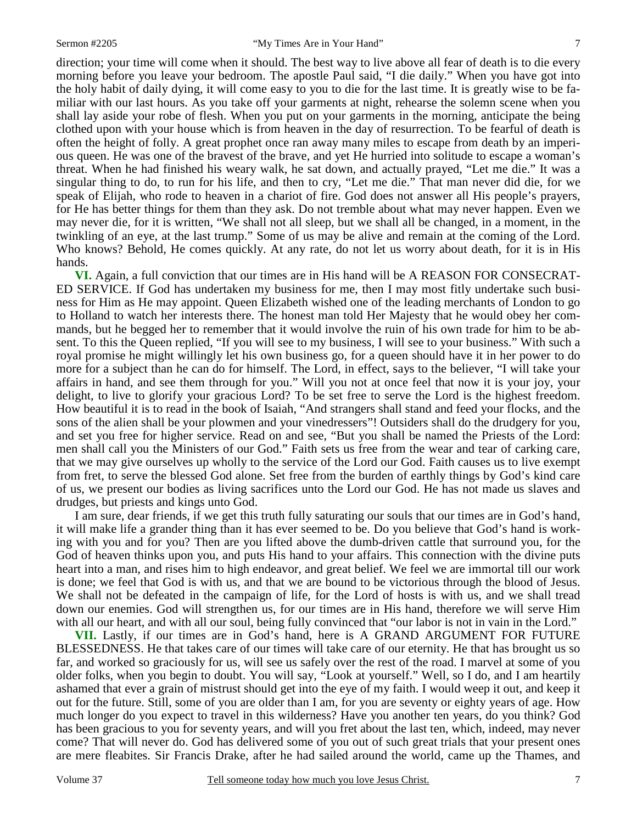direction; your time will come when it should. The best way to live above all fear of death is to die every morning before you leave your bedroom. The apostle Paul said, "I die daily." When you have got into the holy habit of daily dying, it will come easy to you to die for the last time. It is greatly wise to be familiar with our last hours. As you take off your garments at night, rehearse the solemn scene when you shall lay aside your robe of flesh. When you put on your garments in the morning, anticipate the being clothed upon with your house which is from heaven in the day of resurrection. To be fearful of death is often the height of folly. A great prophet once ran away many miles to escape from death by an imperious queen. He was one of the bravest of the brave, and yet He hurried into solitude to escape a woman's threat. When he had finished his weary walk, he sat down, and actually prayed, "Let me die." It was a singular thing to do, to run for his life, and then to cry, "Let me die." That man never did die, for we speak of Elijah, who rode to heaven in a chariot of fire. God does not answer all His people's prayers, for He has better things for them than they ask. Do not tremble about what may never happen. Even we may never die, for it is written, "We shall not all sleep, but we shall all be changed, in a moment, in the twinkling of an eye, at the last trump." Some of us may be alive and remain at the coming of the Lord. Who knows? Behold, He comes quickly. At any rate, do not let us worry about death, for it is in His hands.

**VI.** Again, a full conviction that our times are in His hand will be A REASON FOR CONSECRAT-ED SERVICE. If God has undertaken my business for me, then I may most fitly undertake such business for Him as He may appoint. Queen Elizabeth wished one of the leading merchants of London to go to Holland to watch her interests there. The honest man told Her Majesty that he would obey her commands, but he begged her to remember that it would involve the ruin of his own trade for him to be absent. To this the Queen replied, "If you will see to my business, I will see to your business." With such a royal promise he might willingly let his own business go, for a queen should have it in her power to do more for a subject than he can do for himself. The Lord, in effect, says to the believer, "I will take your affairs in hand, and see them through for you." Will you not at once feel that now it is your joy, your delight, to live to glorify your gracious Lord? To be set free to serve the Lord is the highest freedom. How beautiful it is to read in the book of Isaiah, "And strangers shall stand and feed your flocks, and the sons of the alien shall be your plowmen and your vinedressers"! Outsiders shall do the drudgery for you, and set you free for higher service. Read on and see, "But you shall be named the Priests of the Lord: men shall call you the Ministers of our God." Faith sets us free from the wear and tear of carking care, that we may give ourselves up wholly to the service of the Lord our God. Faith causes us to live exempt from fret, to serve the blessed God alone. Set free from the burden of earthly things by God's kind care of us, we present our bodies as living sacrifices unto the Lord our God. He has not made us slaves and drudges, but priests and kings unto God.

 I am sure, dear friends, if we get this truth fully saturating our souls that our times are in God's hand, it will make life a grander thing than it has ever seemed to be. Do you believe that God's hand is working with you and for you? Then are you lifted above the dumb-driven cattle that surround you, for the God of heaven thinks upon you, and puts His hand to your affairs. This connection with the divine puts heart into a man, and rises him to high endeavor, and great belief. We feel we are immortal till our work is done; we feel that God is with us, and that we are bound to be victorious through the blood of Jesus. We shall not be defeated in the campaign of life, for the Lord of hosts is with us, and we shall tread down our enemies. God will strengthen us, for our times are in His hand, therefore we will serve Him with all our heart, and with all our soul, being fully convinced that "our labor is not in vain in the Lord."

**VII.** Lastly, if our times are in God's hand, here is A GRAND ARGUMENT FOR FUTURE BLESSEDNESS. He that takes care of our times will take care of our eternity. He that has brought us so far, and worked so graciously for us, will see us safely over the rest of the road. I marvel at some of you older folks, when you begin to doubt. You will say, "Look at yourself." Well, so I do, and I am heartily ashamed that ever a grain of mistrust should get into the eye of my faith. I would weep it out, and keep it out for the future. Still, some of you are older than I am, for you are seventy or eighty years of age. How much longer do you expect to travel in this wilderness? Have you another ten years, do you think? God has been gracious to you for seventy years, and will you fret about the last ten, which, indeed, may never come? That will never do. God has delivered some of you out of such great trials that your present ones are mere fleabites. Sir Francis Drake, after he had sailed around the world, came up the Thames, and